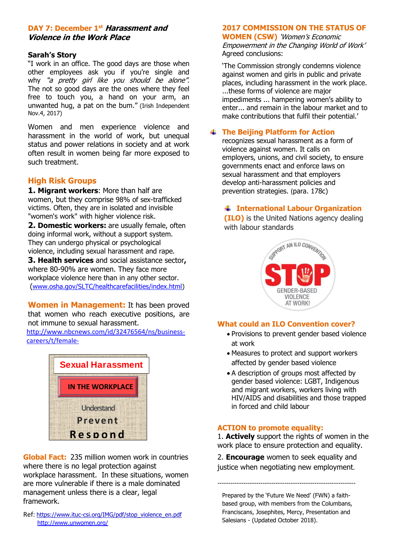#### **DAY 7: December 1st Harassment and Violence in the Work Place**

#### **Sarah's Story**

"I work in an office. The good days are those when other employees ask you if you're single and why "a pretty girl like you should be alone". The not so good days are the ones where they feel free to touch you, a hand on your arm, an unwanted hug, a pat on the bum." (Irish Independent Nov.4, 2017)

Women and men experience violence and harassment in the world of work, but unequal status and power relations in society and at work often result in women being far more exposed to such treatment.

#### **High Risk Groups**

**1. Migrant workers**: More than half are women, but they comprise 98% of sex-trafficked victims. Often, they are in isolated and invisible "women's work" with higher violence risk.

**2. Domestic workers:** are usually female, often doing informal work, without a support system. They can undergo physical or psychological violence, including sexual harassment and rape.

**3. Health services** and social assistance sector**,**  where 80-90% are women. They face more workplace violence here than in any other sector. ([www.osha.gov/SLTC/healthcarefacilities/index.html\)](http://www.osha.gov/SLTC/healthcarefacilities/index.html)

**Women in Management:** It has been proved that women who reach executive positions, are not immune to sexual harassment.

[http://www.nbcnews.com/id/32476564/ns/business](http://www.nbcnews.com/id/32476564/ns/business-careers/t/female-)[careers/t/female-](http://www.nbcnews.com/id/32476564/ns/business-careers/t/female-)



**Global Fact:** 235 million women work in countries where there is no legal protection against workplace harassment. In these situations, women are more vulnerable if there is a male dominated management unless there is a clear, legal framework.

Ref: [https://www.ituc-csi.org/IMG/pdf/stop\\_violence\\_en.pdf](https://www.ituc-csi.org/IMG/pdf/stop_violence_en.pdf) <http://www.unwomen.org/>

# **2017 COMMISSION ON THE STATUS OF**

**WOMEN (CSW)** 'Women's Economic Empowerment in the Changing World of Work' Agreed conclusions:

'The Commission strongly condemns violence against women and girls in public and private places, including harassment in the work place. ...these forms of violence are major impediments ... hampering women's ability to enter... and remain in the labour market and to make contributions that fulfil their potential.'

## **The Beijing Platform for Action**

recognizes sexual harassment as a form of violence against women. It calls on employers, unions, and civil society, to ensure governments enact and enforce laws on sexual harassment and that employers develop anti-harassment policies and prevention strategies. (para. 178c)

# **International Labour Organization**

 **(ILO)** is the United Nations agency dealing with labour standards



#### **What could an ILO Convention cover?**

- Provisions to prevent gender based violence at work
- Measures to protect and support workers affected by gender based violence
- A description of groups most affected by gender based violence: LGBT, Indigenous and migrant workers, workers living with HIV/AIDS and disabilities and those trapped in forced and child labour

### **ACTION to promote equality:**

1. **Actively** support the rights of women in the work place to ensure protection and equality.

2. **Encourage** women to seek equality and justice when negotiating new employment.

Prepared by the 'Future We Need' (FWN) a faithbased group, with members from the Columbans, Franciscans, Josephites, Mercy, Presentation and

----------------------------------------------------------------